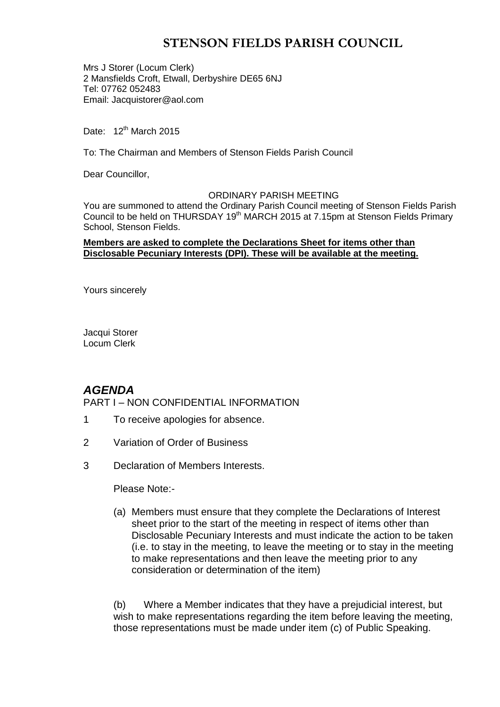# **STENSON FIELDS PARISH COUNCIL**

Mrs J Storer (Locum Clerk) 2 Mansfields Croft, Etwall, Derbyshire DE65 6NJ Tel: 07762 052483 Email: Jacquistorer@aol.com

Date: 12<sup>th</sup> March 2015

To: The Chairman and Members of Stenson Fields Parish Council

Dear Councillor,

#### ORDINARY PARISH MEETING

You are summoned to attend the Ordinary Parish Council meeting of Stenson Fields Parish Council to be held on THURSDAY 19<sup>th</sup> MARCH 2015 at 7.15pm at Stenson Fields Primary School, Stenson Fields.

### **Members are asked to complete the Declarations Sheet for items other than Disclosable Pecuniary Interests (DPI). These will be available at the meeting.**

Yours sincerely

Jacqui Storer Locum Clerk

## *AGENDA*

PART I – NON CONFIDENTIAL INFORMATION

- 1 To receive apologies for absence.
- 2 Variation of Order of Business
- 3 Declaration of Members Interests.

Please Note:-

(a) Members must ensure that they complete the Declarations of Interest sheet prior to the start of the meeting in respect of items other than Disclosable Pecuniary Interests and must indicate the action to be taken (i.e. to stay in the meeting, to leave the meeting or to stay in the meeting to make representations and then leave the meeting prior to any consideration or determination of the item)

(b) Where a Member indicates that they have a prejudicial interest, but wish to make representations regarding the item before leaving the meeting, those representations must be made under item (c) of Public Speaking.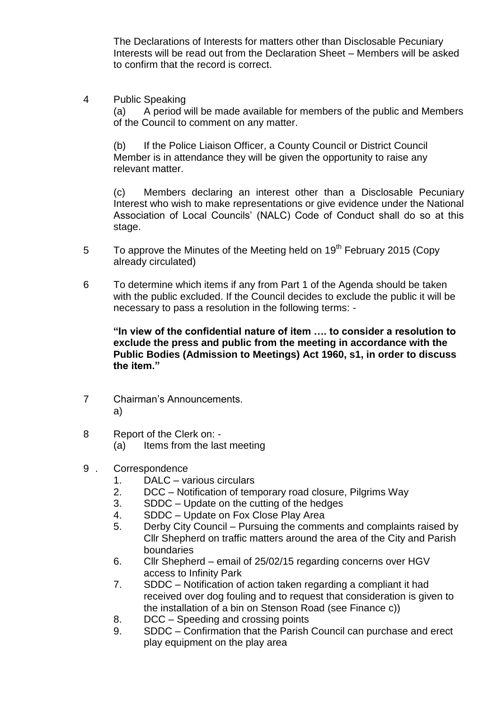The Declarations of Interests for matters other than Disclosable Pecuniary Interests will be read out from the Declaration Sheet – Members will be asked to confirm that the record is correct.

4 Public Speaking

(a) A period will be made available for members of the public and Members of the Council to comment on any matter.

(b) If the Police Liaison Officer, a County Council or District Council Member is in attendance they will be given the opportunity to raise any relevant matter.

(c) Members declaring an interest other than a Disclosable Pecuniary Interest who wish to make representations or give evidence under the National Association of Local Councils' (NALC) Code of Conduct shall do so at this stage.

- 5 To approve the Minutes of the Meeting held on 19<sup>th</sup> February 2015 (Copy already circulated)
- 6 To determine which items if any from Part 1 of the Agenda should be taken with the public excluded. If the Council decides to exclude the public it will be necessary to pass a resolution in the following terms: -

**"In view of the confidential nature of item …. to consider a resolution to exclude the press and public from the meeting in accordance with the Public Bodies (Admission to Meetings) Act 1960, s1, in order to discuss the item."** 

- 7 Chairman's Announcements. a)
- 8 Report of the Clerk on:
	- (a) Items from the last meeting
- 9 . Correspondence
	- 1. DALC various circulars
	- 2. DCC Notification of temporary road closure, Pilgrims Way
	- 3. SDDC Update on the cutting of the hedges
	- 4. SDDC Update on Fox Close Play Area
	- 5. Derby City Council Pursuing the comments and complaints raised by Cllr Shepherd on traffic matters around the area of the City and Parish boundaries
	- 6. Cllr Shepherd email of 25/02/15 regarding concerns over HGV access to Infinity Park
	- 7. SDDC Notification of action taken regarding a compliant it had received over dog fouling and to request that consideration is given to the installation of a bin on Stenson Road (see Finance c))
	- 8. DCC Speeding and crossing points
	- 9. SDDC Confirmation that the Parish Council can purchase and erect play equipment on the play area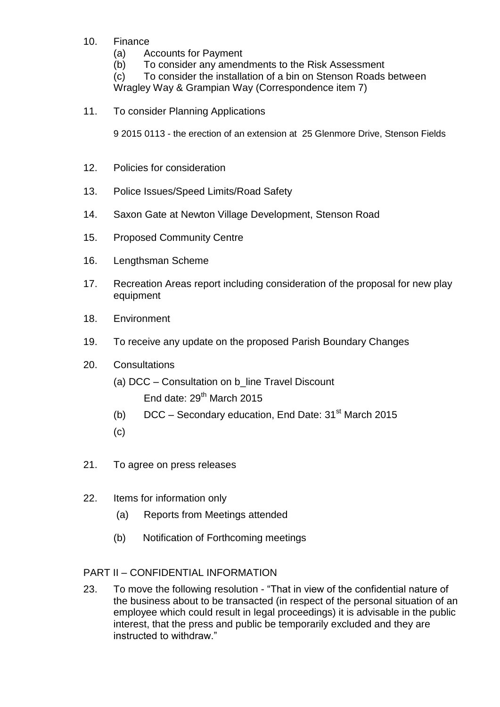- 10. Finance
	- (a) Accounts for Payment
	- (b) To consider any amendments to the Risk Assessment

(c) To consider the installation of a bin on Stenson Roads between

Wragley Way & Grampian Way (Correspondence item 7)

11. To consider Planning Applications

9 2015 0113 - the erection of an extension at 25 Glenmore Drive, Stenson Fields

- 12. Policies for consideration
- 13. Police Issues/Speed Limits/Road Safety
- 14. Saxon Gate at Newton Village Development, Stenson Road
- 15. Proposed Community Centre
- 16. Lengthsman Scheme
- 17. Recreation Areas report including consideration of the proposal for new play equipment
- 18. Environment
- 19. To receive any update on the proposed Parish Boundary Changes
- 20. Consultations
	- (a) DCC Consultation on b\_line Travel Discount End date:  $29<sup>th</sup>$  March 2015
	- (b)  $DCC -$  Secondary education, End Date: 31<sup>st</sup> March 2015
	- (c)
- 21. To agree on press releases
- 22. Items for information only
	- (a) Reports from Meetings attended
	- (b) Notification of Forthcoming meetings

## PART II – CONFIDENTIAL INFORMATION

23. To move the following resolution - "That in view of the confidential nature of the business about to be transacted (in respect of the personal situation of an employee which could result in legal proceedings) it is advisable in the public interest, that the press and public be temporarily excluded and they are instructed to withdraw."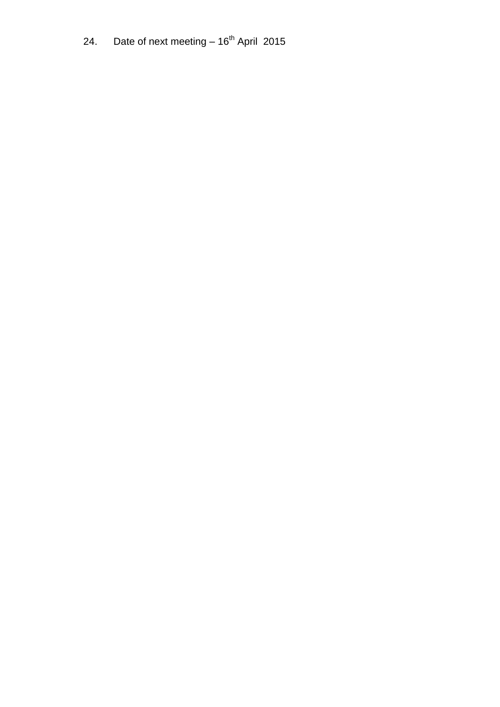24. Date of next meeting  $-16^{th}$  April 2015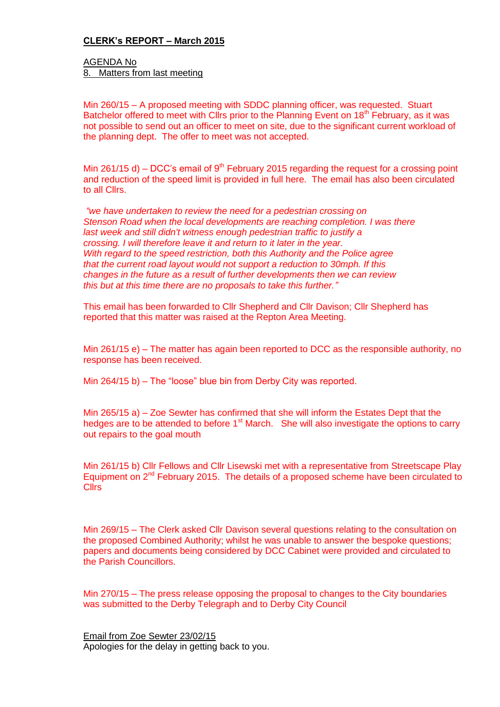### **CLERK's REPORT – March 2015**

AGENDA No 8. Matters from last meeting

Min 260/15 – A proposed meeting with SDDC planning officer, was requested. Stuart Batchelor offered to meet with Clirs prior to the Planning Event on 18<sup>th</sup> February, as it was not possible to send out an officer to meet on site, due to the significant current workload of the planning dept. The offer to meet was not accepted.

Min 261/15 d) – DCC's email of  $9<sup>th</sup>$  February 2015 regarding the request for a crossing point and reduction of the speed limit is provided in full here. The email has also been circulated to all Cllrs.

*"we have undertaken to review the need for a pedestrian crossing on Stenson Road when the local developments are reaching completion. I was there last week and still didn't witness enough pedestrian traffic to justify a crossing. I will therefore leave it and return to it later in the year. With regard to the speed restriction, both this Authority and the Police agree that the current road layout would not support a reduction to 30mph. If this changes in the future as a result of further developments then we can review this but at this time there are no proposals to take this further."*

This email has been forwarded to Cllr Shepherd and Cllr Davison; Cllr Shepherd has reported that this matter was raised at the Repton Area Meeting.

Min 261/15 e) – The matter has again been reported to DCC as the responsible authority, no response has been received.

Min 264/15 b) – The "loose" blue bin from Derby City was reported.

Min 265/15 a) – Zoe Sewter has confirmed that she will inform the Estates Dept that the hedges are to be attended to before  $1<sup>st</sup>$  March. She will also investigate the options to carry out repairs to the goal mouth

Min 261/15 b) Cllr Fellows and Cllr Lisewski met with a representative from Streetscape Play Equipment on 2<sup>nd</sup> February 2015. The details of a proposed scheme have been circulated to Cllrs

Min 269/15 – The Clerk asked Cllr Davison several questions relating to the consultation on the proposed Combined Authority; whilst he was unable to answer the bespoke questions; papers and documents being considered by DCC Cabinet were provided and circulated to the Parish Councillors.

Min 270/15 – The press release opposing the proposal to changes to the City boundaries was submitted to the Derby Telegraph and to Derby City Council

Email from Zoe Sewter 23/02/15 Apologies for the delay in getting back to you.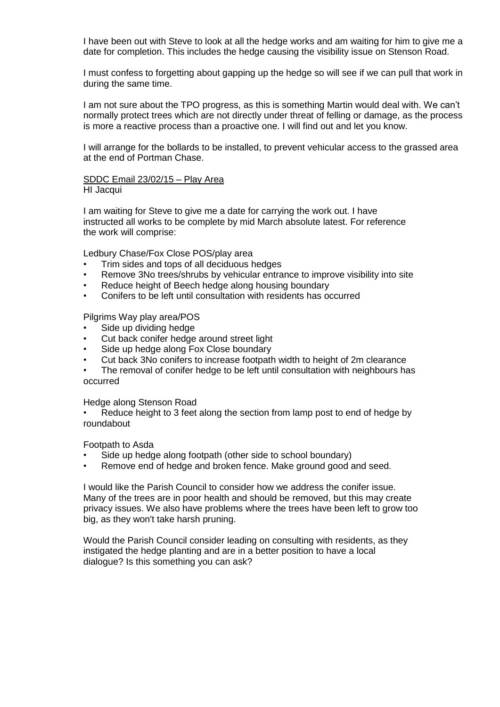I have been out with Steve to look at all the hedge works and am waiting for him to give me a date for completion. This includes the hedge causing the visibility issue on Stenson Road.

I must confess to forgetting about gapping up the hedge so will see if we can pull that work in during the same time.

I am not sure about the TPO progress, as this is something Martin would deal with. We can't normally protect trees which are not directly under threat of felling or damage, as the process is more a reactive process than a proactive one. I will find out and let you know.

I will arrange for the bollards to be installed, to prevent vehicular access to the grassed area at the end of Portman Chase.

#### SDDC Email 23/02/15 – Play Area

HI Jacqui

I am waiting for Steve to give me a date for carrying the work out. I have instructed all works to be complete by mid March absolute latest. For reference the work will comprise:

Ledbury Chase/Fox Close POS/play area

- Trim sides and tops of all deciduous hedges
- Remove 3No trees/shrubs by vehicular entrance to improve visibility into site
- Reduce height of Beech hedge along housing boundary
- Conifers to be left until consultation with residents has occurred

Pilgrims Way play area/POS

- Side up dividing hedge
- Cut back conifer hedge around street light
- Side up hedge along Fox Close boundary
- Cut back 3No conifers to increase footpath width to height of 2m clearance

The removal of conifer hedge to be left until consultation with neighbours has occurred

Hedge along Stenson Road

Reduce height to 3 feet along the section from lamp post to end of hedge by roundabout

Footpath to Asda

- Side up hedge along footpath (other side to school boundary)
- Remove end of hedge and broken fence. Make ground good and seed.

I would like the Parish Council to consider how we address the conifer issue. Many of the trees are in poor health and should be removed, but this may create privacy issues. We also have problems where the trees have been left to grow too big, as they won't take harsh pruning.

Would the Parish Council consider leading on consulting with residents, as they instigated the hedge planting and are in a better position to have a local dialogue? Is this something you can ask?